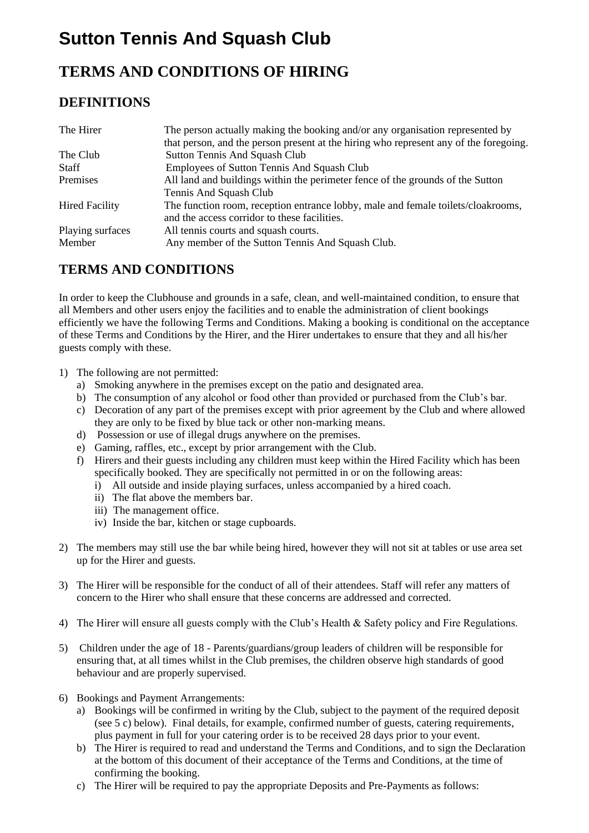# **Sutton Tennis And Squash Club**

## **TERMS AND CONDITIONS OF HIRING**

### **DEFINITIONS**

| The Hirer             | The person actually making the booking and/or any organisation represented by         |  |
|-----------------------|---------------------------------------------------------------------------------------|--|
|                       | that person, and the person present at the hiring who represent any of the foregoing. |  |
| The Club              | <b>Sutton Tennis And Squash Club</b>                                                  |  |
| <b>Staff</b>          | Employees of Sutton Tennis And Squash Club                                            |  |
| Premises              | All land and buildings within the perimeter fence of the grounds of the Sutton        |  |
|                       | Tennis And Squash Club                                                                |  |
| <b>Hired Facility</b> | The function room, reception entrance lobby, male and female toilets/cloakrooms,      |  |
|                       | and the access corridor to these facilities.                                          |  |
| Playing surfaces      | All tennis courts and squash courts.                                                  |  |
| Member                | Any member of the Sutton Tennis And Squash Club.                                      |  |

### **TERMS AND CONDITIONS**

In order to keep the Clubhouse and grounds in a safe, clean, and well-maintained condition, to ensure that all Members and other users enjoy the facilities and to enable the administration of client bookings efficiently we have the following Terms and Conditions. Making a booking is conditional on the acceptance of these Terms and Conditions by the Hirer, and the Hirer undertakes to ensure that they and all his/her guests comply with these.

- 1) The following are not permitted:
	- a) Smoking anywhere in the premises except on the patio and designated area.
	- b) The consumption of any alcohol or food other than provided or purchased from the Club's bar.
	- c) Decoration of any part of the premises except with prior agreement by the Club and where allowed they are only to be fixed by blue tack or other non-marking means.
	- d) Possession or use of illegal drugs anywhere on the premises.
	- e) Gaming, raffles, etc., except by prior arrangement with the Club.
	- f) Hirers and their guests including any children must keep within the Hired Facility which has been specifically booked. They are specifically not permitted in or on the following areas:
		- i) All outside and inside playing surfaces, unless accompanied by a hired coach.
		- ii) The flat above the members bar.
		- iii) The management office.
		- iv) Inside the bar, kitchen or stage cupboards.
- 2) The members may still use the bar while being hired, however they will not sit at tables or use area set up for the Hirer and guests.
- 3) The Hirer will be responsible for the conduct of all of their attendees. Staff will refer any matters of concern to the Hirer who shall ensure that these concerns are addressed and corrected.
- 4) The Hirer will ensure all guests comply with the Club's Health & Safety policy and Fire Regulations.
- 5) Children under the age of 18 Parents/guardians/group leaders of children will be responsible for ensuring that, at all times whilst in the Club premises, the children observe high standards of good behaviour and are properly supervised.
- 6) Bookings and Payment Arrangements:
	- a) Bookings will be confirmed in writing by the Club, subject to the payment of the required deposit (see 5 c) below). Final details, for example, confirmed number of guests, catering requirements, plus payment in full for your catering order is to be received 28 days prior to your event.
	- b) The Hirer is required to read and understand the Terms and Conditions, and to sign the Declaration at the bottom of this document of their acceptance of the Terms and Conditions, at the time of confirming the booking.
	- c) The Hirer will be required to pay the appropriate Deposits and Pre-Payments as follows: